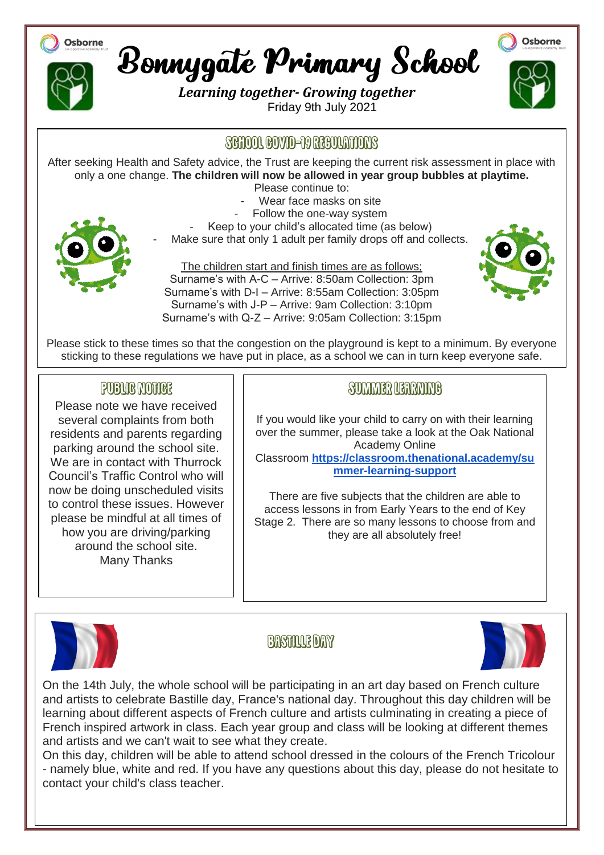

There are five subjects that the children are able to access lessons in from Early Years to the end of Key Stage 2. There are so many lessons to choose from and they are all absolutely free!



to control these issues. However please be mindful at all times of how you are driving/parking around the school site. Many Thanks

#### **BASTALLE DAY**



On the 14th July, the whole school will be participating in an art day based on French culture and artists to celebrate Bastille day, France's national day. Throughout this day children will be learning about different aspects of French culture and artists culminating in creating a piece of French inspired artwork in class. Each year group and class will be looking at different themes and artists and we can't wait to see what they create.

On this day, children will be able to attend school dressed in the colours of the French Tricolour - namely blue, white and red. If you have any questions about this day, please do not hesitate to contact your child's class teacher.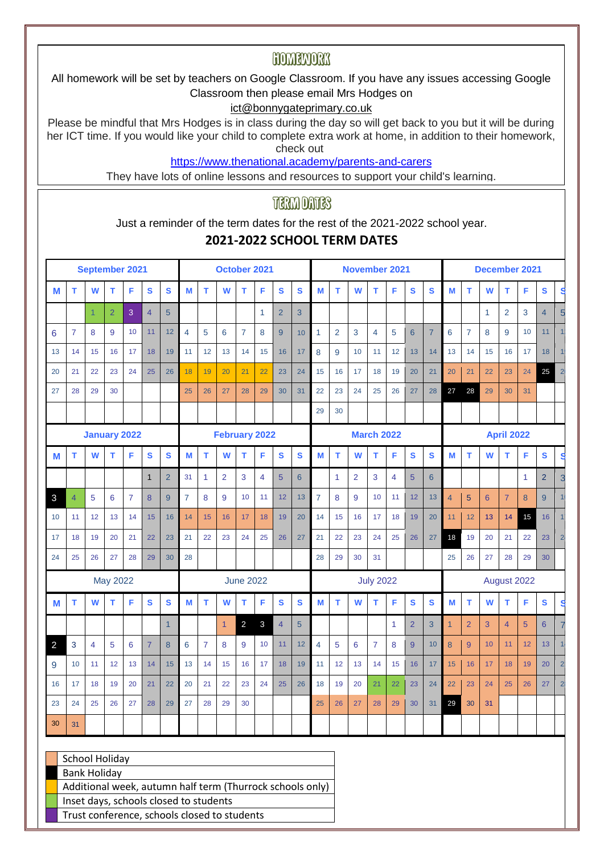### HOMELNORK

All homework will be set by teachers on Google Classroom. If you have any issues accessing Google Classroom then please email Mrs Hodges on

#### ict@bonnygateprimary.co.uk

Please be mindful that Mrs Hodges is in class during the day so will get back to you but it will be during her ICT time. If you would like your child to complete extra work at home, in addition to their homework, check out

<https://www.thenational.academy/parents-and-carers>

They have lots of online lessons and resources to support your child's learning.

### **TERM DATES**

Just a reminder of the term dates for the rest of the 2021-2022 school year.

#### **2021-2022 SCHOOL TERM DATES**

|                |                | September 2021                                                                                                                                                                               |                 |                |                |                |                |                | October 2021         |                  |              |                 |              |                |                | <b>November 2021</b> |                   |                |                 |                  |                |                | December 2021  |                   |                |                 |                |
|----------------|----------------|----------------------------------------------------------------------------------------------------------------------------------------------------------------------------------------------|-----------------|----------------|----------------|----------------|----------------|----------------|----------------------|------------------|--------------|-----------------|--------------|----------------|----------------|----------------------|-------------------|----------------|-----------------|------------------|----------------|----------------|----------------|-------------------|----------------|-----------------|----------------|
| М              | т              | W                                                                                                                                                                                            | т               | F              | S              | S              | M              | т              | W                    | т                | F            | S               | $\mathbf{s}$ | M              | т              | W                    | т                 | F              | S               | $\mathbf{s}$     | M              | т              | W              | т                 | F              | $\mathbf{s}$    | $\mathbf{s}$   |
|                |                | $\mathbf{1}$                                                                                                                                                                                 | $\overline{2}$  | 3              | $\overline{4}$ | 5              |                |                |                      |                  | $\mathbf{1}$ | $\overline{2}$  | 3            |                |                |                      |                   |                |                 |                  |                |                | $\mathbf{1}$   | 2                 | 3              | $\overline{4}$  | 5              |
| 6              | $\overline{7}$ | 8                                                                                                                                                                                            | 9               | 10             | 11             | 12             | 4              | 5              | 6                    | $\overline{7}$   | 8            | 9               | 10           | $\mathbf{1}$   | $\overline{2}$ | 3                    | 4                 | 5              | $6\phantom{1}$  | $\overline{7}$   | 6              | $\overline{7}$ | 8              | 9                 | 10             | 11              |                |
| 13             | 14             | 15                                                                                                                                                                                           | 16              | 17             | 18             | 19             | 11             | 12             | 13                   | 14               | 15           | 16              | 17           | 8              | 9              | 10                   | 11                | 12             | 13              | 14               | 13             | 14             | 15             | 16                | 17             | 18              |                |
| 20             | 21             | 22                                                                                                                                                                                           | 23              | 24             | 25             | 26             | 18             | 19             | 20                   | 21               | 22           | 23              | 24           | 15             | 16             | 17                   | 18                | 19             | 20              | 21               | 20             | 21             | 22             | 23                | 24             | 25              | $\overline{2}$ |
| 27             | 28             | 29                                                                                                                                                                                           | 30              |                |                |                | 25             | 26             | 27                   | 28               | 29           | 30              | 31           | 22             | 23             | 24                   | 25                | 26             | 27              | 28               | 27             | 28             | 29             | 30                | 31             |                 |                |
|                |                |                                                                                                                                                                                              |                 |                |                |                |                |                |                      |                  |              |                 |              | 29             | 30             |                      |                   |                |                 |                  |                |                |                |                   |                |                 |                |
|                |                | <b>January 2022</b>                                                                                                                                                                          |                 |                |                |                |                |                | <b>February 2022</b> |                  |              |                 |              |                |                |                      | <b>March 2022</b> |                |                 |                  |                |                |                | <b>April 2022</b> |                |                 |                |
| М              | т              | W                                                                                                                                                                                            | т               | F              | $\mathbf{s}$   | $\mathbf{s}$   | M              | т              | W                    | т                | F            | $\mathbf{s}$    | $\mathbf{s}$ | M              | T.             | W                    | т                 | F              | S               | $\mathbf{s}$     | M              | т              | W              | т                 | F              | $\mathbf s$     | S              |
|                |                |                                                                                                                                                                                              |                 |                | $\mathbf{1}$   | $\overline{2}$ | 31             | 1              | $\overline{2}$       | 3                | 4            | $5\overline{)}$ | 6            |                | $\mathbf{1}$   | 2                    | 3                 | $\overline{4}$ | 5               | 6                |                |                |                |                   | $\mathbf{1}$   | $\overline{2}$  | 3              |
| 3              | $\overline{4}$ | 5                                                                                                                                                                                            | 6               | $\overline{7}$ | 8              | 9              | $\overline{7}$ | 8              | 9                    | 10               | 11           | 12              | 13           | $\overline{7}$ | 8              | 9                    | 10                | 11             | 12 <sup>°</sup> | 13               | $\overline{4}$ | 5              | $6\phantom{1}$ | $\overline{7}$    | 8              | 9               |                |
| 10             | 11             | 12                                                                                                                                                                                           | 13              | 14             | 15             | 16             | 14             | 15             | 16                   | 17               | 18           | 19              | 20           | 14             | 15             | 16                   | 17                | 18             | 19              | 20               | 11             | 12             | 13             | 14                | 15             | 16              |                |
| 17             | 18             | 19                                                                                                                                                                                           | 20              | 21             | 22             | 23             | 21             | 22             | 23                   | 24               | 25           | 26              | 27           | 21             | 22             | 23                   | 24                | 25             | 26              | 27               | 18             | 19             | 20             | 21                | 22             | 23              | $\overline{2}$ |
| 24             | 25             | 26                                                                                                                                                                                           | 27              | 28             | 29             | 30             | 28             |                |                      |                  |              |                 |              | 28             | 29             | 30                   | 31                |                |                 |                  | 25             | 26             | 27             | 28                | 29             | 30              |                |
|                |                |                                                                                                                                                                                              | <b>May 2022</b> |                |                |                |                |                |                      | <b>June 2022</b> |              |                 |              |                |                |                      | <b>July 2022</b>  |                |                 |                  |                |                |                | August 2022       |                |                 |                |
| М              | т              | W                                                                                                                                                                                            | т               | F              | S              | $\mathbf{s}$   | M              | т              | W                    | т                | F            | $\mathbf{s}$    | S            | M              | T.             | W                    | т                 | F              | S               | S                | M              | т              | W              | T.                | F              | $\mathbf s$     | s              |
|                |                |                                                                                                                                                                                              |                 |                |                | $\overline{1}$ |                |                | $\overline{1}$       | 2                | 3            | $\overline{4}$  | 5            |                |                |                      |                   | $\mathbf{1}$   | $\overline{2}$  | 3                | $\mathbf{1}$   | $\overline{2}$ | 3              | $\overline{4}$    | 5 <sup>5</sup> | $6\phantom{1}6$ | 7              |
| $\overline{a}$ | 3              | $\overline{4}$                                                                                                                                                                               | 5               | 6              | $\overline{7}$ | 8              | 6              | $\overline{7}$ | 8                    | 9                | 10           | 11              | 12           | $\overline{4}$ | 5              | 6                    | $\overline{7}$    | 8              | 9               | 10 <sup>10</sup> | 8              | 9              | 10             | 11                | 12             | 13              |                |
| 9              | 10             | 11                                                                                                                                                                                           | 12              | 13             | 14             | 15             | 13             | 14             | 15                   | 16               | 17           | 18              | 19           | 11             | 12             | 13                   | 14                | 15             | 16              | 17               | 15             | 16             | 17             | 18                | 19             | 20              | $\overline{2}$ |
| 16             | 17             | 18                                                                                                                                                                                           | 19              | 20             | 21             | 22             | 20             | 21             | 22                   | 23               | 24           | 25              | 26           | 18             | 19             | 20                   | 21                | 22             | 23              | 24               | 22             | 23             | 24             | 25                | 26             | 27              | $\overline{2}$ |
| 23             | 24             | 25                                                                                                                                                                                           | 26              | 27             | 28             | 29             | 27             | 28             | 29                   | 30               |              |                 |              | 25             | 26             | 27                   | 28                | 29             | 30              | 31               | 29             | 30             | 31             |                   |                |                 |                |
| 30             | 31             |                                                                                                                                                                                              |                 |                |                |                |                |                |                      |                  |              |                 |              |                |                |                      |                   |                |                 |                  |                |                |                |                   |                |                 |                |
|                |                | School Holiday<br><b>Bank Holiday</b><br>Additional week, autumn half term (Thurrock schools only)<br>Inset days, schools closed to students<br>Trust conference, schools closed to students |                 |                |                |                |                |                |                      |                  |              |                 |              |                |                |                      |                   |                |                 |                  |                |                |                |                   |                |                 |                |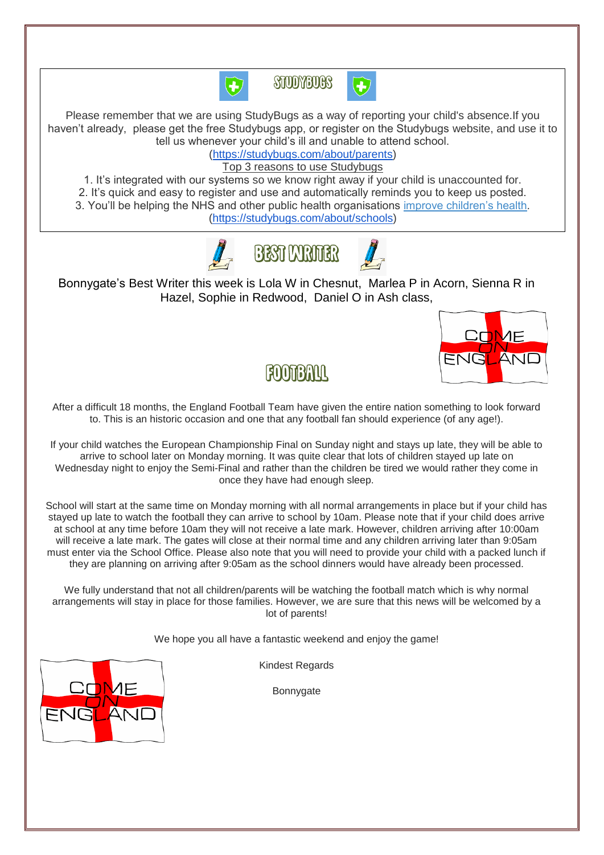



Please remember that we are using StudyBugs as a way of reporting your child's absence.If you haven't already, please get the free Studybugs app, or register on the Studybugs website, and use it to tell us whenever your child's ill and unable to attend school.

[\(https://studybugs.com/about/parents\)](https://studybugs.com/about/parents)

Top 3 reasons to use Studybugs

1. It's integrated with our systems so we know right away if your child is unaccounted for. 2. It's quick and easy to register and use and automatically reminds you to keep us posted. 3. You'll be helping the NHS and other public health organisations [improve children's health.](https://studybugs.com/about/schools) [\(https://studybugs.com/about/schools\)](https://studybugs.com/about/schools)



Bonnygate's Best Writer this week is Lola W in Chesnut, Marlea P in Acorn, Sienna R in Hazel, Sophie in Redwood, Daniel O in Ash class,



### **ROOTBAUL**

After a difficult 18 months, the England Football Team have given the entire nation something to look forward to. This is an historic occasion and one that any football fan should experience (of any age!).

If your child watches the European Championship Final on Sunday night and stays up late, they will be able to arrive to school later on Monday morning. It was quite clear that lots of children stayed up late on Wednesday night to enjoy the Semi-Final and rather than the children be tired we would rather they come in once they have had enough sleep.

School will start at the same time on Monday morning with all normal arrangements in place but if your child has stayed up late to watch the football they can arrive to school by 10am. Please note that if your child does arrive at school at any time before 10am they will not receive a late mark. However, children arriving after 10:00am will receive a late mark. The gates will close at their normal time and any children arriving later than 9:05am must enter via the School Office. Please also note that you will need to provide your child with a packed lunch if they are planning on arriving after 9:05am as the school dinners would have already been processed.

We fully understand that not all children/parents will be watching the football match which is why normal arrangements will stay in place for those families. However, we are sure that this news will be welcomed by a lot of parents!

We hope you all have a fantastic weekend and enjoy the game!

Kindest Regards

Bonnygate

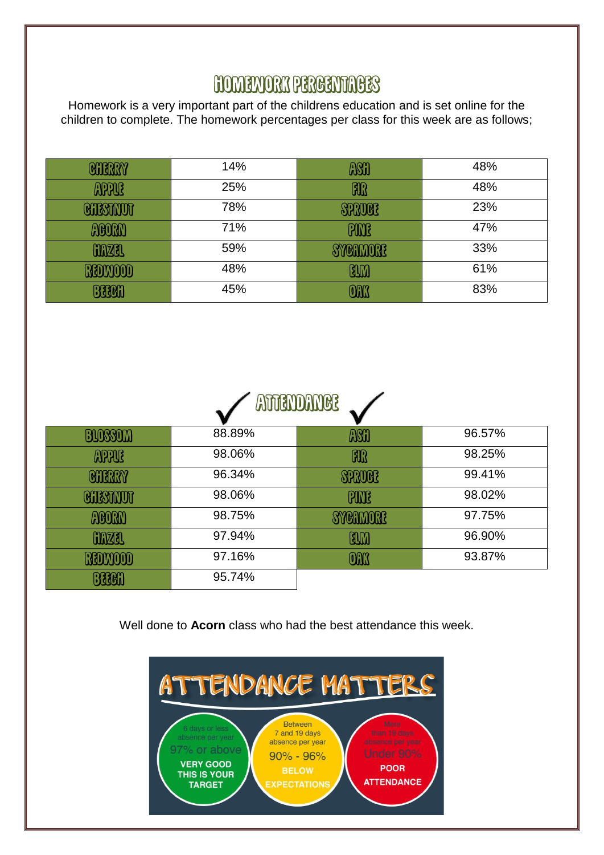## **HOMENORY PERCENTAGES**

Homework is a very important part of the childrens education and is set online for the children to complete. The homework percentages per class for this week are as follows;

| <b>GITERRY</b>  | 14% | ASH           | 48% |
|-----------------|-----|---------------|-----|
| <b>APPUB</b>    | 25% | FIR           | 48% |
| <b>CHESTAUT</b> | 78% | <b>SPRUGE</b> | 23% |
| MOORN           | 71% | <b>PANE</b>   | 47% |
| <b>MAZRI</b>    | 59% | SYCHHOHE      | 33% |
| RODOOO          | 48% | RIM           | 61% |
| BROH            | 45% | OM            | 83% |

|                  |        | <b>ATTENDANCE</b> |        |
|------------------|--------|-------------------|--------|
| BLOSSOM          | 88.89% | ASH               | 96.57% |
| <b>APPUE</b>     | 98.06% | <b>FIR</b>        | 98.25% |
| <b>CHERRY</b>    | 96.34% | <b>SFRUES</b>     | 99.41% |
| <b>GNISTAVOT</b> | 98.06% | <b>BUDE</b>       | 98.02% |
| ACORN            | 98.75% | <b>SYCHMORE</b>   | 97.75% |
| <b>GARZEL</b>    | 97.94% | BLM               | 96.90% |
| RADMOOD          | 97.16% | <b>OAK</b>        | 93.87% |
| BBBA             | 95.74% |                   |        |

Well done to **Acorn** class who had the best attendance this week.

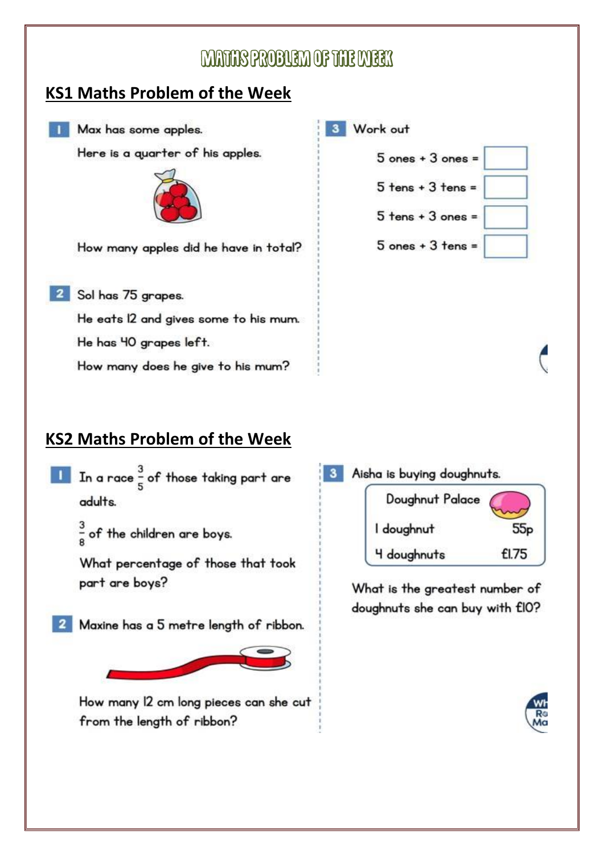## MATHER PROBUGEN OF THE MEEK

W

### **KS1 Maths Problem of the Week**

Max has some apples.

Here is a guarter of his apples.



How many apples did he have in total?

<sup>2</sup> Sol has 75 grapes.

He eats 12 and gives some to his mum.

He has 40 grapes left.

How many does he give to his mum?

| ork out |                       |  |
|---------|-----------------------|--|
|         | $5$ ones + $3$ ones = |  |
|         | $5$ tens + $3$ tens = |  |
|         | $5$ tens + $3$ ones = |  |
|         | $5$ ones + $3$ tens = |  |

### **KS2 Maths Problem of the Week**

- $\frac{3}{5}$  In a race  $\frac{3}{5}$  of those taking part are adults.
	- $\frac{3}{8}$  of the children are boys.

What percentage of those that took part are boys?

Maxine has a 5 metre length of ribbon.

How many 12 cm long pieces can she cut from the length of ribbon?

Aisha is buying doughnuts.  $3<sup>1</sup>$ Doughnut Palace I doughnut  $55p$ £1.75 4 doughnuts

> What is the greatest number of doughnuts she can buy with £10?

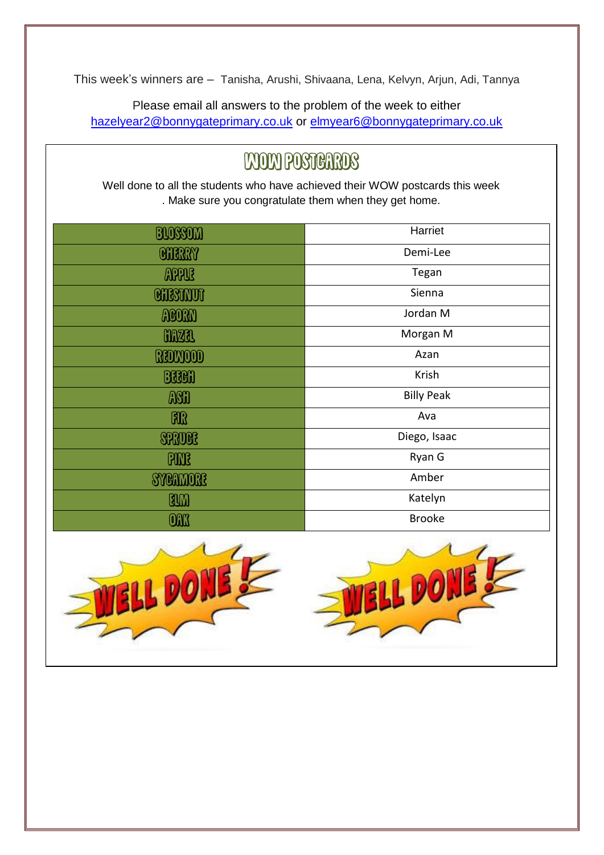This week's winners are – Tanisha, Arushi, Shivaana, Lena, Kelvyn, Arjun, Adi, Tannya

Please email all answers to the problem of the week to either [hazelyear2@bonnygateprimary.co.uk](mailto:hazelyear2@bonnygateprimary.co.uk) or [elmyear6@bonnygateprimary.co.uk](mailto:elmyear6@bonnygateprimary.co.uk)

# **WOW POSTERIOS**

Well done to all the students who have achieved their WOW postcards this week . Make sure you congratulate them when they get home.

| BIOSSOM          | Harriet           |
|------------------|-------------------|
| <b>CHERRY</b>    | Demi-Lee          |
| <b>APPUE</b>     | Tegan             |
| <b>CHESTIVOT</b> | Sienna            |
| MON              | Jordan M          |
| <b>CONZEL</b>    | Morgan M          |
| ROMOOD           | Azan              |
| <b>BRON</b>      | Krish             |
| ASH              | <b>Billy Peak</b> |
| <b>FOR</b>       | Ava               |
| <b>SRUCE</b>     | Diego, Isaac      |
| <b>PMR</b>       | Ryan G            |
| <b>SYCHMORE</b>  | Amber             |
| BLM              | Katelyn           |
| <b>ONK</b>       | <b>Brooke</b>     |

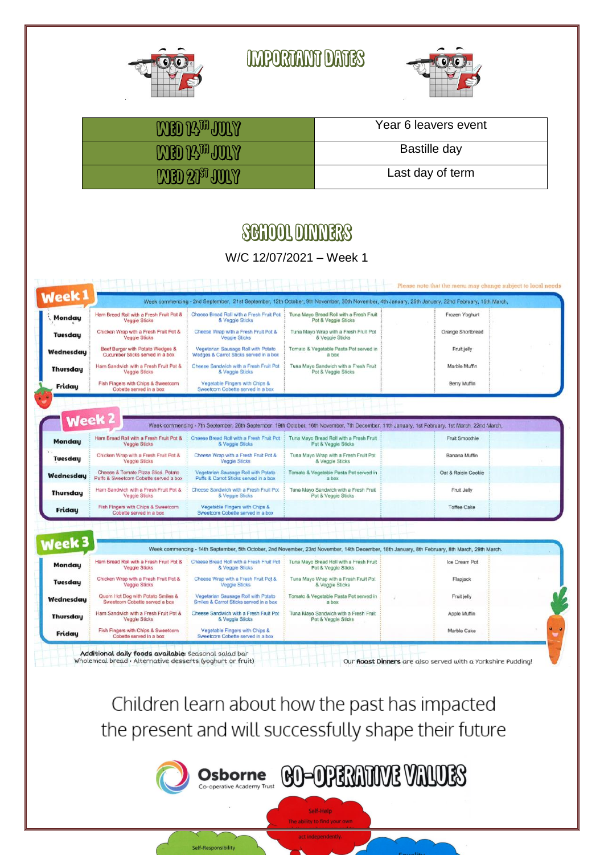

**MPORTANT DATES** 



| <b>MED 14th JORY</b> | Year 6 leavers event |
|----------------------|----------------------|
| <b>MED 14th JORY</b> | Bastille day         |
| <b>MED 2009 JULY</b> | Last day of term     |

## **SCHOOL DINNERS**

#### W/C 12/07/2021 – Week 1

| Week 1            |                                                                               |                                                                               |                                                                | Week commencing - 2nd September, 21st September, 12th October, 9th November, 30th November, 4th January, 25th January, 22nd February, 15th March, |  |
|-------------------|-------------------------------------------------------------------------------|-------------------------------------------------------------------------------|----------------------------------------------------------------|---------------------------------------------------------------------------------------------------------------------------------------------------|--|
| Monday            | Ham Bread Roll with a Fresh Fruit Pot &<br><b>Veggie Sticks</b>               | Cheese Bread Roll with a Fresh Fruit Pot<br>& Veggie Sticks                   | Tuna Mayo Bread Roll with a Fresh Fruit<br>Pot & Veggie Sticks | Frozen Yoghurt                                                                                                                                    |  |
| <b>Tuesday</b>    | Chicken Wrap with a Fresh Fruit Pot &<br>Veggie Sticks                        | Cheese Wrap with a Fresh Fruit Pot &<br>Veggie Sticks                         | Tuna Mayo Wrap with a Fresh Fruit Pot<br>& Veggie Sticks       | Orange Shortbread                                                                                                                                 |  |
| Wednesdau         | Beef Burger with Potato Wedges &<br>Cucumber Sticks served in a box           | Vegetarian Sausage Roll with Potato<br>Wedges & Carrot Sticks served in a box | Tomato & Vegetable Pasta Pot served in<br>a box                | Fruit jelly                                                                                                                                       |  |
| <b>Thursdau</b>   | Ham Sandwich with a Fresh Fruit Pot &<br>Veggie Sticks                        | Cheese Sandwich with a Fresh Fruit Pot<br>& Veggie Sticks                     | Tuna Mayo Sandwich with a Fresh Fruit<br>Pot & Veggie Sticks   | Marble Muffin                                                                                                                                     |  |
| Friday            | Fish Fingers with Chips & Sweetcorn<br>Cobette served in a box                | Vegetable Fingers with Chips &<br>Sweetcom Cobette served in a box            |                                                                | Berry Muffin                                                                                                                                      |  |
|                   |                                                                               |                                                                               |                                                                |                                                                                                                                                   |  |
|                   |                                                                               |                                                                               |                                                                |                                                                                                                                                   |  |
| Week <sub>2</sub> |                                                                               |                                                                               |                                                                | Week commencing - 7th September, 28th September, 19th October, 16th November, 7th December, 11th January, 1st February, 1st March, 22nd March,    |  |
|                   |                                                                               |                                                                               |                                                                |                                                                                                                                                   |  |
| <b>Monday</b>     | Ham Bread Roll with a Fresh Fruit Pot &<br><b>Veggie Sticks</b>               | Cheese Bread Roll with a Fresh Fruit Pot<br>& Veggie Sticks                   | Tuna Mayo Bread Roll with a Fresh Fruit<br>Pot & Veggie Sticks | Fruit Smoothie                                                                                                                                    |  |
| <b>Tuesday</b>    | Chicken Wrap with a Fresh Fruit Pot &<br><b>Veggie Sticks</b>                 | Cheese Wrap with a Fresh Fruit Pot &<br><b>Veggie Sticks</b>                  | Tuna Mayo Wrap with a Fresh Fruit Pot<br>& Veggie Sticks       | Banana Muffin                                                                                                                                     |  |
| Wednesdau         | Cheese & Tomato Pizza Slice, Potato<br>Puffs & Sweetcorn Cobette served a box | Vegetarian Sausage Roll with Potato<br>Puffs & Carrot Sticks served in a box  | Tomato & Vegetable Pasta Pot served in<br>a box                | Oat & Raisin Cookie                                                                                                                               |  |
| <b>Thursday</b>   | Ham Sandwich with a Fresh Fruit Pot &<br><b>Veggie Sticks</b>                 | Cheese Sandwich with a Fresh Fruit Pot<br>& Veggie Sticks                     | Tuna Mayo Sandwich with a Fresh Fruit<br>Pot & Veggie Sticks   | Fruit Jelly                                                                                                                                       |  |
| Friday            | Fish Fingers with Chips & Sweetcorn<br>Cobette served in a box                | Vegetable Fingers with Chips &<br>Sweetcorn Cobette served in a box           |                                                                | <b>Toffee Cake</b>                                                                                                                                |  |
|                   |                                                                               |                                                                               |                                                                |                                                                                                                                                   |  |
|                   |                                                                               |                                                                               |                                                                |                                                                                                                                                   |  |
| <b>Week 3</b>     |                                                                               |                                                                               |                                                                | Week commencing - 14th September, 5th October, 2nd November, 23rd November, 14th December, 18th January, 8th February, 8th March, 29th March.     |  |
| Mondau            | Ham Bread Roll with a Fresh Fruit Pot &<br>Veggie Sticks                      | Cheese Bread Roll with a Fresh Fruit Pot<br>& Veggie Sticks                   | Tuna Mayo Bread Roll with a Fresh Fruit<br>Pot & Veggie Sticks | Ice Cream Pot                                                                                                                                     |  |
| <b>Tuesday</b>    | Chicken Wrap with a Fresh Fruit Pot &<br>Veggie Sticks                        | Cheese Wrap with a Fresh Fruit Pot &<br><b>Veggie Sticks</b>                  | Tuna Mayo Wrap with a Fresh Fruit Pot<br>& Veggie Sticks       | Flapjack                                                                                                                                          |  |
| Wednesdau         | Quorn Hot Dog with Potato Smiles &<br>Sweetcorn Cobette served a box          | Vegetarian Sausage Roll with Potato<br>Smiles & Carrot Sticks served in a box | Tomato & Vegetable Pasta Pot served in<br>a box                | Fruit jelly                                                                                                                                       |  |
| <b>Thursday</b>   | Ham Sandwich with a Fresh Fruit Pot &<br><b>Veggie Sticks</b>                 | Cheese Sandwich with a Fresh Fruit Pot<br>& Veggie Sticks                     | Tuna Mayo Sandwich with a Fresh Fruit<br>Pot & Veggie Sticks   | Apple Muffin                                                                                                                                      |  |
| Friday            | Fish Fingers with Chips & Sweetcorn<br>Cobette served in a box                | Vegetable Fingers with Chips &<br>Sweetcorn Cobette served in a box           |                                                                | Marble Cake                                                                                                                                       |  |

Children learn about how the past has impacted the present and will successfully shape their future